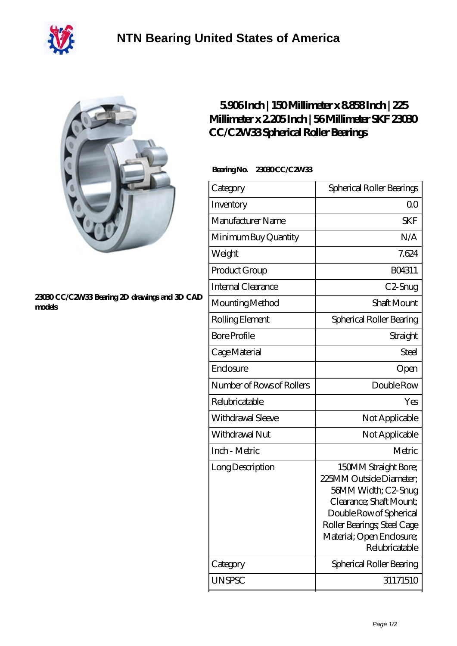



## **[23030 CC/C2W33 Bearing 2D drawings and 3D CAD](https://m.40ozbounce-tube.net/pic-267392.html) [models](https://m.40ozbounce-tube.net/pic-267392.html)**

## **[5.906 Inch | 150 Millimeter x 8.858 Inch | 225](https://m.40ozbounce-tube.net/aw-267392-skf-23030-cc-c2w33-spherical-roller-bearings.html) [Millimeter x 2.205 Inch | 56 Millimeter SKF 23030](https://m.40ozbounce-tube.net/aw-267392-skf-23030-cc-c2w33-spherical-roller-bearings.html) [CC/C2W33 Spherical Roller Bearings](https://m.40ozbounce-tube.net/aw-267392-skf-23030-cc-c2w33-spherical-roller-bearings.html)**

## **Bearing No. 23030 CC/C2W33**

| Category                  | Spherical Roller Bearings                                                                                                                                                                                  |
|---------------------------|------------------------------------------------------------------------------------------------------------------------------------------------------------------------------------------------------------|
| Inventory                 | 00                                                                                                                                                                                                         |
| Manufacturer Name         | <b>SKF</b>                                                                                                                                                                                                 |
| Minimum Buy Quantity      | N/A                                                                                                                                                                                                        |
| Weight                    | 7.624                                                                                                                                                                                                      |
| Product Group             | BO4311                                                                                                                                                                                                     |
| Internal Clearance        | C2-Snug                                                                                                                                                                                                    |
| Mounting Method           | <b>Shaft Mount</b>                                                                                                                                                                                         |
| Rolling Element           | Spherical Roller Bearing                                                                                                                                                                                   |
| <b>Bore Profile</b>       | Straight                                                                                                                                                                                                   |
| Cage Material             | Steel                                                                                                                                                                                                      |
| Enclosure                 | Open                                                                                                                                                                                                       |
| Number of Rows of Rollers | Double Row                                                                                                                                                                                                 |
| Relubricatable            | Yes                                                                                                                                                                                                        |
| Withdrawal Sleeve         | Not Applicable                                                                                                                                                                                             |
| Withdrawal Nut            | Not Applicable                                                                                                                                                                                             |
| Inch - Metric             | Metric                                                                                                                                                                                                     |
| Long Description          | 150MM Straight Bore;<br>225MM Outside Diameter;<br>56MM Width; C2-Snug<br>Clearance; Shaft Mount;<br>Double Row of Spherical<br>Roller Bearings; Steel Cage<br>Material; Open Enclosure;<br>Relubricatable |
| Category                  | Spherical Roller Bearing                                                                                                                                                                                   |
| <b>UNSPSC</b>             | 31171510                                                                                                                                                                                                   |